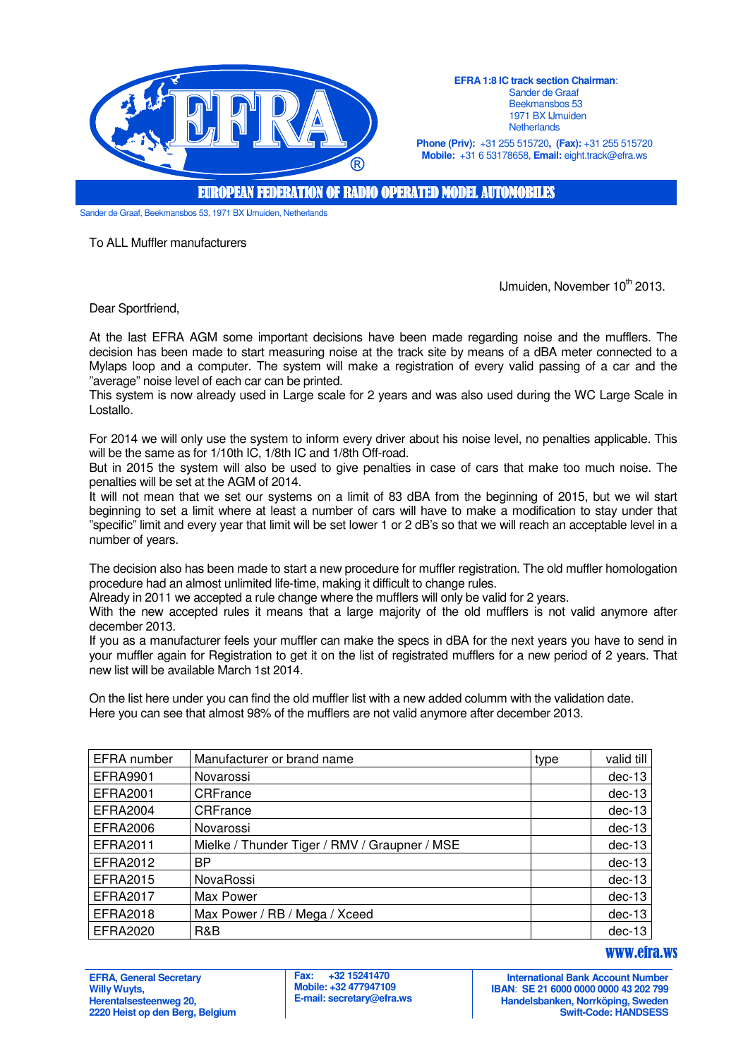

**EFRA 1:8 IC track section Chairman**: Sander de Graaf Beekmansbos 53 1971 BX IJmuiden **Netherlands** 

**Phone (Priv):** +31 255 515720**, (Fax):** +31 255 515720 **Mobile:** +31 6 53178658, **Email:** eight.track@efra.ws

EUROPEAN FEDERATION OF RADIO OPERATED MODEL AUTOMOBILES

Sander de Graaf, Beekmansbos 53, 1971 BX IJmuiden, Netherlands

To ALL Muffler manufacturers

IJmuiden, November 10<sup>th</sup> 2013.

Dear Sportfriend,

At the last EFRA AGM some important decisions have been made regarding noise and the mufflers. The decision has been made to start measuring noise at the track site by means of a dBA meter connected to a Mylaps loop and a computer. The system will make a registration of every valid passing of a car and the "average" noise level of each car can be printed.

This system is now already used in Large scale for 2 years and was also used during the WC Large Scale in Lostallo.

For 2014 we will only use the system to inform every driver about his noise level, no penalties applicable. This will be the same as for 1/10th IC, 1/8th IC and 1/8th Off-road.

But in 2015 the system will also be used to give penalties in case of cars that make too much noise. The penalties will be set at the AGM of 2014.

It will not mean that we set our systems on a limit of 83 dBA from the beginning of 2015, but we wil start beginning to set a limit where at least a number of cars will have to make a modification to stay under that "specific" limit and every year that limit will be set lower 1 or 2 dB's so that we will reach an acceptable level in a number of years.

The decision also has been made to start a new procedure for muffler registration. The old muffler homologation procedure had an almost unlimited life-time, making it difficult to change rules.

Already in 2011 we accepted a rule change where the mufflers will only be valid for 2 years.

With the new accepted rules it means that a large majority of the old mufflers is not valid anymore after december 2013.

If you as a manufacturer feels your muffler can make the specs in dBA for the next years you have to send in your muffler again for Registration to get it on the list of registrated mufflers for a new period of 2 years. That new list will be available March 1st 2014.

On the list here under you can find the old muffler list with a new added columm with the validation date. Here you can see that almost 98% of the mufflers are not valid anymore after december 2013.

| EFRA number     | Manufacturer or brand name                    | type | valid till |
|-----------------|-----------------------------------------------|------|------------|
| <b>EFRA9901</b> | Novarossi                                     |      | $dec-13$   |
| EFRA2001        | CRFrance                                      |      | $dec-13$   |
| <b>EFRA2004</b> | <b>CRFrance</b>                               |      | $dec-13$   |
| <b>EFRA2006</b> | Novarossi                                     |      | $dec-13$   |
| EFRA2011        | Mielke / Thunder Tiger / RMV / Graupner / MSE |      | $dec-13$   |
| <b>EFRA2012</b> | BP                                            |      | $dec-13$   |
| <b>EFRA2015</b> | NovaRossi                                     |      | $dec-13$   |
| <b>EFRA2017</b> | Max Power                                     |      | $dec-13$   |
| <b>EFRA2018</b> | Max Power / RB / Mega / Xceed                 |      | $dec-13$   |
| <b>EFRA2020</b> | R&B                                           |      | $dec-13$   |

www.efra.ws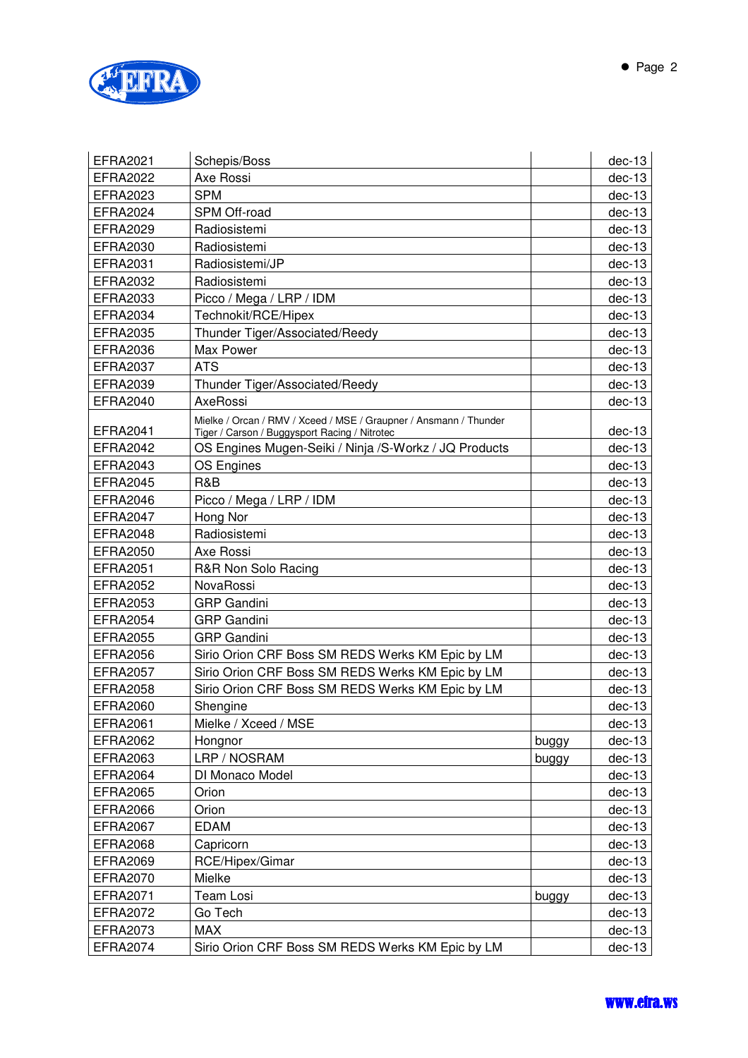

| <b>EFRA2021</b> | Schepis/Boss                                                                                                       |       | $dec-13$ |
|-----------------|--------------------------------------------------------------------------------------------------------------------|-------|----------|
| <b>EFRA2022</b> | Axe Rossi                                                                                                          |       | $dec-13$ |
| <b>EFRA2023</b> | <b>SPM</b>                                                                                                         |       | $dec-13$ |
| <b>EFRA2024</b> | SPM Off-road                                                                                                       |       | $dec-13$ |
| <b>EFRA2029</b> | Radiosistemi                                                                                                       |       | $dec-13$ |
| <b>EFRA2030</b> | Radiosistemi                                                                                                       |       | $dec-13$ |
| <b>EFRA2031</b> | Radiosistemi/JP                                                                                                    |       | $dec-13$ |
| <b>EFRA2032</b> | Radiosistemi                                                                                                       |       | $dec-13$ |
| EFRA2033        | Picco / Mega / LRP / IDM                                                                                           |       | $dec-13$ |
| <b>EFRA2034</b> | Technokit/RCE/Hipex                                                                                                |       | $dec-13$ |
| <b>EFRA2035</b> | Thunder Tiger/Associated/Reedy                                                                                     |       | $dec-13$ |
| <b>EFRA2036</b> | Max Power                                                                                                          |       | $dec-13$ |
| <b>EFRA2037</b> | <b>ATS</b>                                                                                                         |       | $dec-13$ |
| <b>EFRA2039</b> | Thunder Tiger/Associated/Reedy                                                                                     |       | $dec-13$ |
| <b>EFRA2040</b> | AxeRossi                                                                                                           |       | $dec-13$ |
| <b>EFRA2041</b> | Mielke / Orcan / RMV / Xceed / MSE / Graupner / Ansmann / Thunder<br>Tiger / Carson / Buggysport Racing / Nitrotec |       | $dec-13$ |
| <b>EFRA2042</b> | OS Engines Mugen-Seiki / Ninja /S-Workz / JQ Products                                                              |       | $dec-13$ |
| <b>EFRA2043</b> | OS Engines                                                                                                         |       | $dec-13$ |
| <b>EFRA2045</b> | R&B                                                                                                                |       | $dec-13$ |
| <b>EFRA2046</b> | Picco / Mega / LRP / IDM                                                                                           |       | $dec-13$ |
| <b>EFRA2047</b> | Hong Nor                                                                                                           |       | $dec-13$ |
| <b>EFRA2048</b> | Radiosistemi                                                                                                       |       | $dec-13$ |
| <b>EFRA2050</b> | Axe Rossi                                                                                                          |       | $dec-13$ |
| <b>EFRA2051</b> | R&R Non Solo Racing                                                                                                |       | $dec-13$ |
| <b>EFRA2052</b> | NovaRossi                                                                                                          |       | $dec-13$ |
| <b>EFRA2053</b> | <b>GRP</b> Gandini                                                                                                 |       | $dec-13$ |
| <b>EFRA2054</b> | <b>GRP Gandini</b>                                                                                                 |       | $dec-13$ |
| <b>EFRA2055</b> | <b>GRP Gandini</b>                                                                                                 |       | $dec-13$ |
| <b>EFRA2056</b> | Sirio Orion CRF Boss SM REDS Werks KM Epic by LM                                                                   |       | $dec-13$ |
| <b>EFRA2057</b> | Sirio Orion CRF Boss SM REDS Werks KM Epic by LM                                                                   |       | $dec-13$ |
| <b>EFRA2058</b> | Sirio Orion CRF Boss SM REDS Werks KM Epic by LM                                                                   |       | $dec-13$ |
| <b>EFRA2060</b> | Shengine                                                                                                           |       | $dec-13$ |
| <b>EFRA2061</b> | Mielke / Xceed / MSE                                                                                               |       | $dec-13$ |
| <b>EFRA2062</b> | Hongnor                                                                                                            | buggy | $dec-13$ |
| EFRA2063        | LRP / NOSRAM                                                                                                       | buggy | $dec-13$ |
| <b>EFRA2064</b> | DI Monaco Model                                                                                                    |       | $dec-13$ |
| <b>EFRA2065</b> | Orion                                                                                                              |       | $dec-13$ |
| <b>EFRA2066</b> | Orion                                                                                                              |       | $dec-13$ |
| <b>EFRA2067</b> | <b>EDAM</b>                                                                                                        |       | $dec-13$ |
| <b>EFRA2068</b> | Capricorn                                                                                                          |       | $dec-13$ |
| <b>EFRA2069</b> | RCE/Hipex/Gimar                                                                                                    |       | $dec-13$ |
| <b>EFRA2070</b> | Mielke                                                                                                             |       | $dec-13$ |
| EFRA2071        | Team Losi                                                                                                          | buggy | $dec-13$ |
| <b>EFRA2072</b> | Go Tech                                                                                                            |       | $dec-13$ |
| <b>EFRA2073</b> | MAX                                                                                                                |       | $dec-13$ |
| <b>EFRA2074</b> | Sirio Orion CRF Boss SM REDS Werks KM Epic by LM                                                                   |       | $dec-13$ |

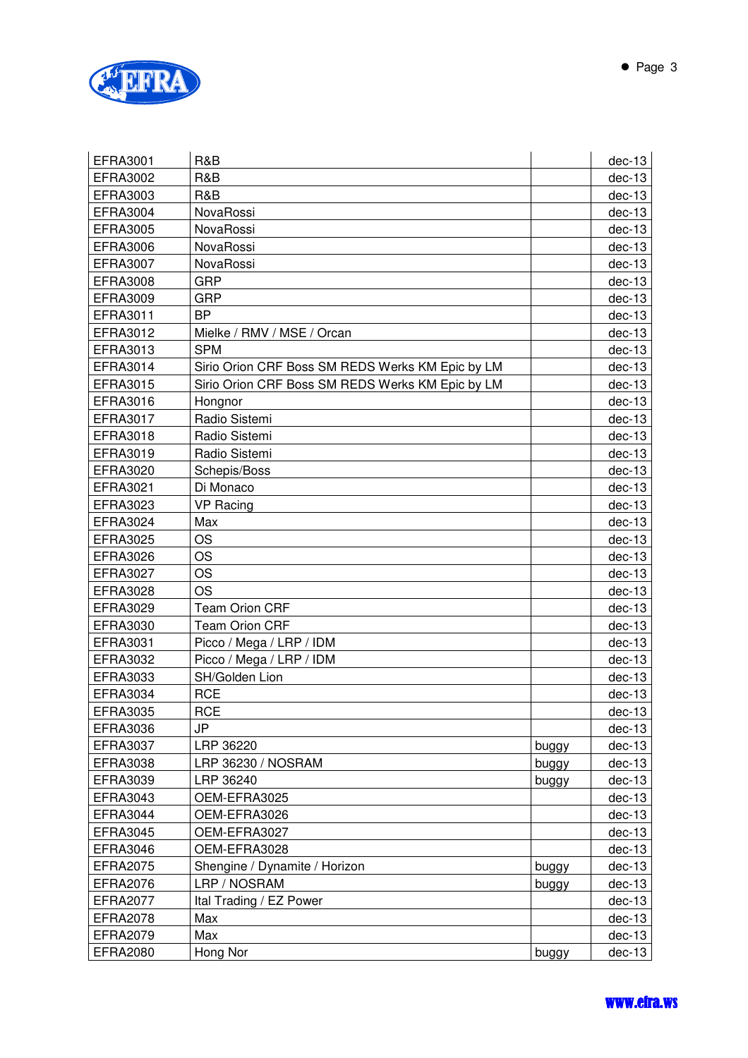

| EFRA3001        | R&B                                              |       | $dec-13$ |
|-----------------|--------------------------------------------------|-------|----------|
| <b>EFRA3002</b> | R&B                                              |       | $dec-13$ |
| EFRA3003        | R&B                                              |       | $dec-13$ |
| <b>EFRA3004</b> | NovaRossi                                        |       | $dec-13$ |
| <b>EFRA3005</b> | NovaRossi                                        |       | $dec-13$ |
| <b>EFRA3006</b> | NovaRossi                                        |       | $dec-13$ |
| <b>EFRA3007</b> | NovaRossi                                        |       | $dec-13$ |
| <b>EFRA3008</b> | <b>GRP</b>                                       |       | $dec-13$ |
| EFRA3009        | <b>GRP</b>                                       |       | $dec-13$ |
| EFRA3011        | <b>BP</b>                                        |       | $dec-13$ |
| EFRA3012        | Mielke / RMV / MSE / Orcan                       |       | $dec-13$ |
| EFRA3013        | <b>SPM</b>                                       |       | $dec-13$ |
| EFRA3014        | Sirio Orion CRF Boss SM REDS Werks KM Epic by LM |       | $dec-13$ |
| EFRA3015        | Sirio Orion CRF Boss SM REDS Werks KM Epic by LM |       | $dec-13$ |
| EFRA3016        | Hongnor                                          |       | $dec-13$ |
| EFRA3017        | Radio Sistemi                                    |       | $dec-13$ |
| EFRA3018        | Radio Sistemi                                    |       | $dec-13$ |
| EFRA3019        | Radio Sistemi                                    |       | $dec-13$ |
| <b>EFRA3020</b> | Schepis/Boss                                     |       | $dec-13$ |
| EFRA3021        | Di Monaco                                        |       | $dec-13$ |
| EFRA3023        | <b>VP Racing</b>                                 |       | $dec-13$ |
| EFRA3024        | Max                                              |       | $dec-13$ |
| <b>EFRA3025</b> | <b>OS</b>                                        |       | $dec-13$ |
| EFRA3026        | <b>OS</b>                                        |       | $dec-13$ |
| <b>EFRA3027</b> | <b>OS</b>                                        |       | $dec-13$ |
| <b>EFRA3028</b> | <b>OS</b>                                        |       | $dec-13$ |
| <b>EFRA3029</b> | <b>Team Orion CRF</b>                            |       | $dec-13$ |
| EFRA3030        | <b>Team Orion CRF</b>                            |       | $dec-13$ |
| EFRA3031        | Picco / Mega / LRP / IDM                         |       | $dec-13$ |
| EFRA3032        | Picco / Mega / LRP / IDM                         |       | $dec-13$ |
| EFRA3033        | SH/Golden Lion                                   |       | $dec-13$ |
| EFRA3034        | <b>RCE</b>                                       |       | $dec-13$ |
| <b>EFRA3035</b> | <b>RCE</b>                                       |       | $dec-13$ |
| <b>EFRA3036</b> | JP                                               |       | $dec-13$ |
| <b>EFRA3037</b> | LRP 36220                                        | buggy | $dec-13$ |
| <b>EFRA3038</b> | LRP 36230 / NOSRAM                               | buggy | $dec-13$ |
| EFRA3039        | LRP 36240                                        | buggy | $dec-13$ |
| EFRA3043        | OEM-EFRA3025                                     |       | $dec-13$ |
| EFRA3044        | OEM-EFRA3026                                     |       | $dec-13$ |
| <b>EFRA3045</b> | OEM-EFRA3027                                     |       | $dec-13$ |
| <b>EFRA3046</b> | OEM-EFRA3028                                     |       | $dec-13$ |
| <b>EFRA2075</b> | Shengine / Dynamite / Horizon                    | buggy | $dec-13$ |
| <b>EFRA2076</b> | LRP / NOSRAM                                     | buggy | $dec-13$ |
| <b>EFRA2077</b> | Ital Trading / EZ Power                          |       | $dec-13$ |
| <b>EFRA2078</b> | Max                                              |       | $dec-13$ |
| <b>EFRA2079</b> | Max                                              |       | $dec-13$ |
| <b>EFRA2080</b> | Hong Nor                                         | buggy | $dec-13$ |

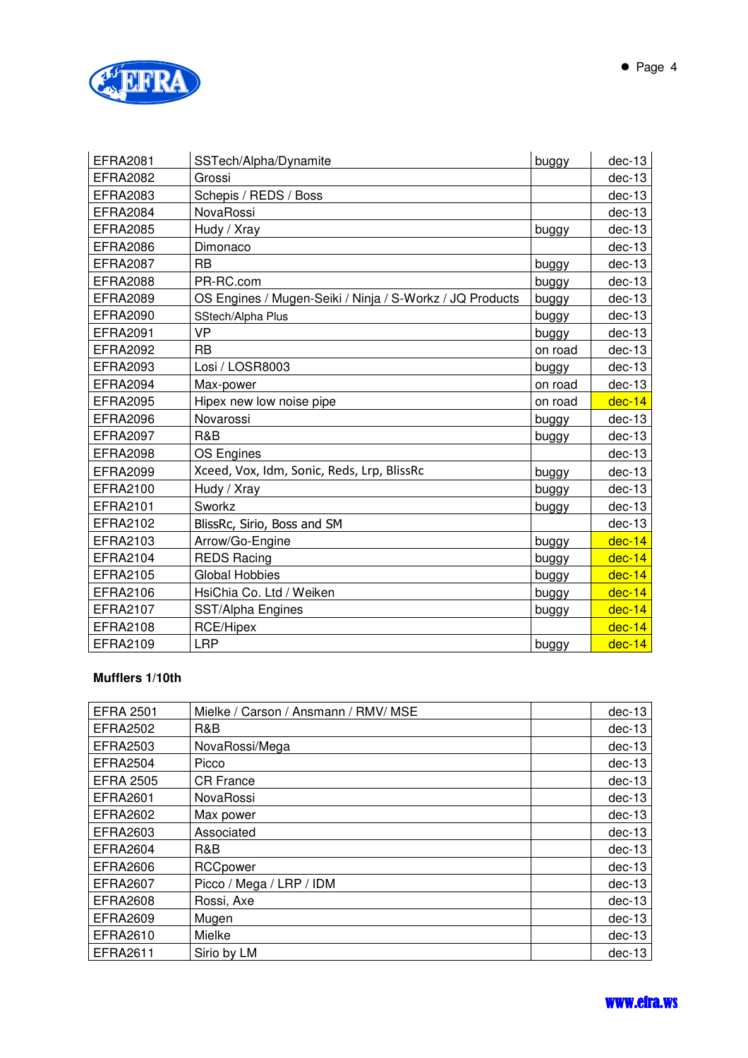

| <b>EFRA2081</b> | SSTech/Alpha/Dynamite                                    | buggy   | $dec-13$ |
|-----------------|----------------------------------------------------------|---------|----------|
| <b>EFRA2082</b> | Grossi                                                   |         | $dec-13$ |
| <b>EFRA2083</b> | Schepis / REDS / Boss                                    |         | $dec-13$ |
| <b>EFRA2084</b> | NovaRossi                                                |         | $dec-13$ |
| <b>EFRA2085</b> | Hudy / Xray                                              | buggy   | $dec-13$ |
| <b>EFRA2086</b> | Dimonaco                                                 |         | $dec-13$ |
| <b>EFRA2087</b> | <b>RB</b>                                                | buggy   | $dec-13$ |
| <b>EFRA2088</b> | PR-RC.com                                                | buggy   | $dec-13$ |
| <b>EFRA2089</b> | OS Engines / Mugen-Seiki / Ninja / S-Workz / JQ Products | buggy   | $dec-13$ |
| <b>EFRA2090</b> | SStech/Alpha Plus                                        | buggy   | $dec-13$ |
| EFRA2091        | <b>VP</b>                                                | buggy   | $dec-13$ |
| <b>EFRA2092</b> | <b>RB</b>                                                | on road | $dec-13$ |
| <b>EFRA2093</b> | Losi / LOSR8003                                          | buggy   | $dec-13$ |
| <b>EFRA2094</b> | Max-power                                                | on road | $dec-13$ |
| <b>EFRA2095</b> | Hipex new low noise pipe                                 | on road | $dec-14$ |
| <b>EFRA2096</b> | Novarossi                                                | buggy   | $dec-13$ |
| <b>EFRA2097</b> | R&B                                                      | buggy   | $dec-13$ |
| <b>EFRA2098</b> | <b>OS Engines</b>                                        |         | $dec-13$ |
| <b>EFRA2099</b> | Xceed, Vox, Idm, Sonic, Reds, Lrp, BlissRc               | buggy   | $dec-13$ |
| EFRA2100        | Hudy / Xray                                              | buggy   | $dec-13$ |
| EFRA2101        | Sworkz                                                   | buggy   | $dec-13$ |
| EFRA2102        | BlissRc, Sirio, Boss and SM                              |         | $dec-13$ |
| EFRA2103        | Arrow/Go-Engine                                          | buggy   | $dec-14$ |
| EFRA2104        | <b>REDS Racing</b>                                       | buggy   | $dec-14$ |
| EFRA2105        | <b>Global Hobbies</b>                                    | buggy   | $dec-14$ |
| EFRA2106        | HsiChia Co. Ltd / Weiken                                 | buggy   | $dec-14$ |
| <b>EFRA2107</b> | SST/Alpha Engines                                        | buggy   | $dec-14$ |
| <b>EFRA2108</b> | RCE/Hipex                                                |         | $dec-14$ |
| EFRA2109        | <b>LRP</b>                                               | buggy   | $dec-14$ |

## **Mufflers 1/10th**

| <b>EFRA 2501</b> | Mielke / Carson / Ansmann / RMV/ MSE | $dec-13$ |
|------------------|--------------------------------------|----------|
| <b>EFRA2502</b>  | R&B                                  | $dec-13$ |
| <b>EFRA2503</b>  | NovaRossi/Mega                       | $dec-13$ |
| <b>EFRA2504</b>  | Picco                                | $dec-13$ |
| <b>EFRA 2505</b> | <b>CR</b> France                     | $dec-13$ |
| EFRA2601         | <b>NovaRossi</b>                     | $dec-13$ |
| EFRA2602         | Max power                            | $dec-13$ |
| EFRA2603         | Associated                           | $dec-13$ |
| <b>EFRA2604</b>  | R&B                                  | $dec-13$ |
| <b>EFRA2606</b>  | RCCpower                             | $dec-13$ |
| <b>EFRA2607</b>  | Picco / Mega / LRP / IDM             | $dec-13$ |
| <b>EFRA2608</b>  | Rossi, Axe                           | $dec-13$ |
| <b>EFRA2609</b>  | Mugen                                | $dec-13$ |
| EFRA2610         | Mielke                               | $dec-13$ |
| <b>EFRA2611</b>  | Sirio by LM                          | $dec-13$ |

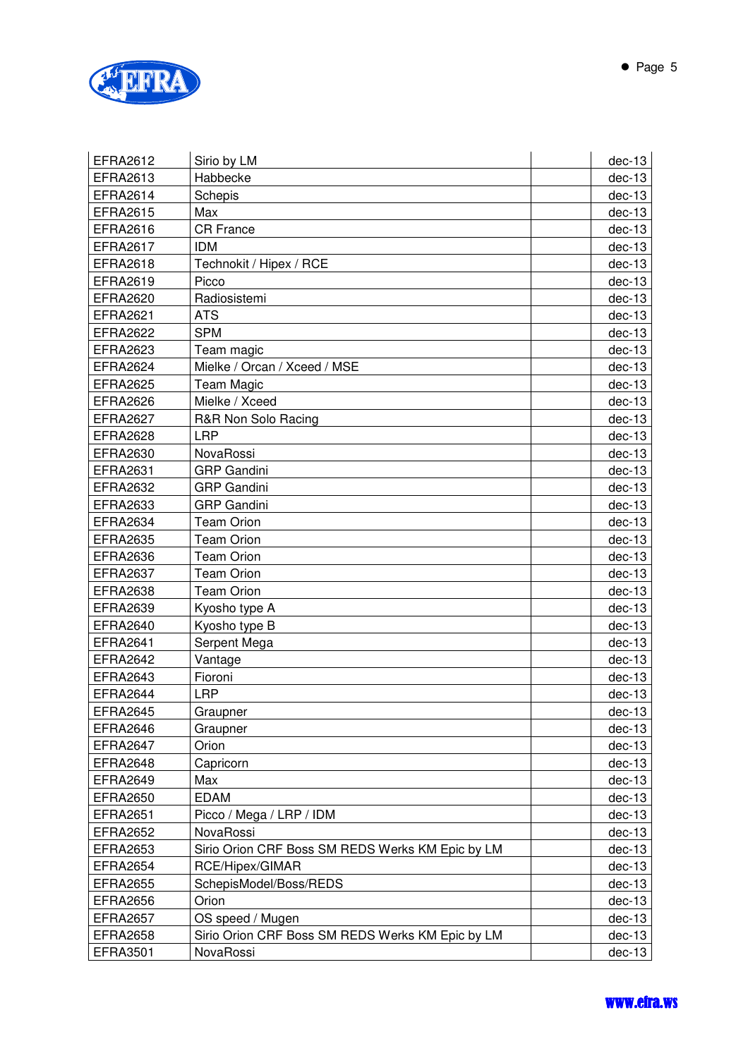

| EFRA2612        | Sirio by LM                                      | $dec-13$ |
|-----------------|--------------------------------------------------|----------|
| <b>EFRA2613</b> | Habbecke                                         | $dec-13$ |
| EFRA2614        | Schepis                                          | $dec-13$ |
| <b>EFRA2615</b> | Max                                              | $dec-13$ |
| EFRA2616        | <b>CR France</b>                                 | $dec-13$ |
| <b>EFRA2617</b> | <b>IDM</b>                                       | $dec-13$ |
| <b>EFRA2618</b> | Technokit / Hipex / RCE                          | $dec-13$ |
| <b>EFRA2619</b> | Picco                                            | $dec-13$ |
| <b>EFRA2620</b> | Radiosistemi                                     | $dec-13$ |
| <b>EFRA2621</b> | <b>ATS</b>                                       | $dec-13$ |
| <b>EFRA2622</b> | <b>SPM</b>                                       | $dec-13$ |
| <b>EFRA2623</b> | Team magic                                       | $dec-13$ |
| <b>EFRA2624</b> | Mielke / Orcan / Xceed / MSE                     | $dec-13$ |
| <b>EFRA2625</b> | <b>Team Magic</b>                                | $dec-13$ |
| EFRA2626        | Mielke / Xceed                                   | $dec-13$ |
| <b>EFRA2627</b> | R&R Non Solo Racing                              | $dec-13$ |
| <b>EFRA2628</b> | <b>LRP</b>                                       | $dec-13$ |
| EFRA2630        | NovaRossi                                        | $dec-13$ |
| <b>EFRA2631</b> | <b>GRP</b> Gandini                               | $dec-13$ |
| <b>EFRA2632</b> | <b>GRP</b> Gandini                               | $dec-13$ |
| <b>EFRA2633</b> | <b>GRP</b> Gandini                               | $dec-13$ |
| EFRA2634        | <b>Team Orion</b>                                | $dec-13$ |
| <b>EFRA2635</b> | <b>Team Orion</b>                                | $dec-13$ |
| <b>EFRA2636</b> | <b>Team Orion</b>                                | $dec-13$ |
| <b>EFRA2637</b> | <b>Team Orion</b>                                | $dec-13$ |
| <b>EFRA2638</b> | <b>Team Orion</b>                                | $dec-13$ |
| <b>EFRA2639</b> | Kyosho type A                                    | $dec-13$ |
| <b>EFRA2640</b> | Kyosho type B                                    | $dec-13$ |
| <b>EFRA2641</b> | Serpent Mega                                     | $dec-13$ |
| <b>EFRA2642</b> | Vantage                                          | $dec-13$ |
| <b>EFRA2643</b> | Fioroni                                          | $dec-13$ |
| <b>EFRA2644</b> | <b>LRP</b>                                       | $dec-13$ |
| <b>EFRA2645</b> | Graupner                                         | $dec-13$ |
| <b>EFRA2646</b> | Graupner                                         | $dec-13$ |
| <b>EFRA2647</b> | Orion                                            | $dec-13$ |
| <b>EFRA2648</b> | Capricorn                                        | $dec-13$ |
| EFRA2649        | Max                                              | $dec-13$ |
| EFRA2650        | <b>EDAM</b>                                      | $dec-13$ |
| <b>EFRA2651</b> | Picco / Mega / LRP / IDM                         | $dec-13$ |
| <b>EFRA2652</b> | NovaRossi                                        | $dec-13$ |
| EFRA2653        | Sirio Orion CRF Boss SM REDS Werks KM Epic by LM | $dec-13$ |
| <b>EFRA2654</b> | RCE/Hipex/GIMAR                                  | $dec-13$ |
| <b>EFRA2655</b> | SchepisModel/Boss/REDS                           | $dec-13$ |
| <b>EFRA2656</b> | Orion                                            | $dec-13$ |
| <b>EFRA2657</b> | OS speed / Mugen                                 | $dec-13$ |
| <b>EFRA2658</b> | Sirio Orion CRF Boss SM REDS Werks KM Epic by LM | $dec-13$ |
| <b>EFRA3501</b> | NovaRossi                                        | $dec-13$ |